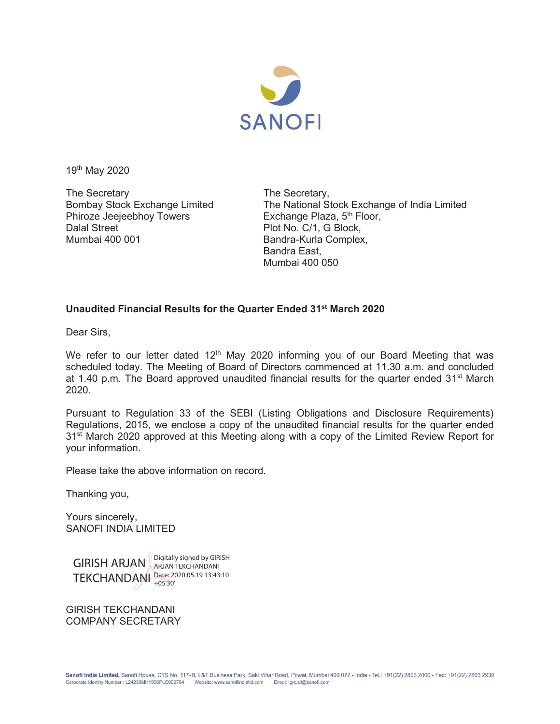

19th May 2020

The Secretary<br>Bombay Stock Exchange Limited The National St Phiroze Jeejeebhoy Towers Exchange Plaza, 5<sup>th</sup> Floor, Dalal Street Plot No. C/1, G Block, Mumbai 400 001 **Bandra-Kurla Complex,** 

The National Stock Exchange of India Limited Bandra East, Mumbai 400 050

## **Unaudited Financial Results for the Quarter Ended 31st March 2020**

Dear Sirs,

We refer to our letter dated  $12<sup>th</sup>$  May 2020 informing you of our Board Meeting that was scheduled today. The Meeting of Board of Directors commenced at 11.30 a.m. and concluded at 1.40 p.m. The Board approved unaudited financial results for the quarter ended 31<sup>st</sup> March 2020.

Pursuant to Regulation 33 of the SEBI (Listing Obligations and Disclosure Requirements) Regulations, 2015, we enclose a copy of the unaudited financial results for the quarter ended 31<sup>st</sup> March 2020 approved at this Meeting along with a copy of the Limited Review Report for your information.

Please take the above information on record.

Thanking you,

Yours sincerely, SANOFI INDIA LIMITED

GIRISH ARJAN ARJAN TEKCHANDANI TEKCHANDANI Date: 2020.05.19 13:43:10 ARJAN TEKCHANDANI +05'30'

GIRISH TEKCHANDANI COMPANY SECRETARY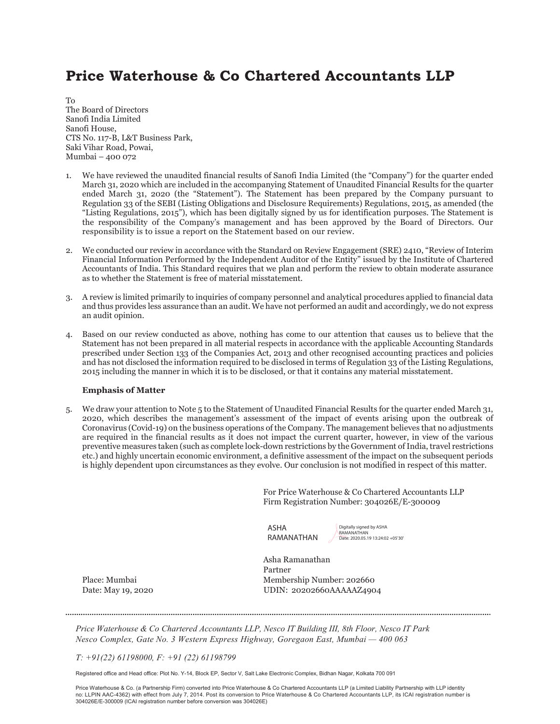# Price Waterhouse & Co Chartered Accountants LLP

To The Board of Directors Sanofi India Limited Sanofi House, CTS No. 117-B, L&T Business Park, Saki Vihar Road, Powai, Mumbai – 400 072

- 1. We have reviewed the unaudited financial results of Sanofi India Limited (the "Company") for the quarter ended March 31, 2020 which are included in the accompanying Statement of Unaudited Financial Results for the quarter ended March 31, 2020 (the "Statement"). The Statement has been prepared by the Company pursuant to Regulation 33 of the SEBI (Listing Obligations and Disclosure Requirements) Regulations, 2015, as amended (the "Listing Regulations, 2015"), which has been digitally signed by us for identification purposes. The Statement is the responsibility of the Company's management and has been approved by the Board of Directors. Our responsibility is to issue a report on the Statement based on our review.
- 2. We conducted our review in accordance with the Standard on Review Engagement (SRE) 2410, "Review of Interim Financial Information Performed by the Independent Auditor of the Entity" issued by the Institute of Chartered Accountants of India. This Standard requires that we plan and perform the review to obtain moderate assurance as to whether the Statement is free of material misstatement.
- 3. A review is limited primarily to inquiries of company personnel and analytical procedures applied to financial data and thus provides less assurance than an audit. We have not performed an audit and accordingly, we do not express an audit opinion.
- 4. Based on our review conducted as above, nothing has come to our attention that causes us to believe that the Statement has not been prepared in all material respects in accordance with the applicable Accounting Standards prescribed under Section 133 of the Companies Act, 2013 and other recognised accounting practices and policies and has not disclosed the information required to be disclosed in terms of Regulation 33 of the Listing Regulations, 2015 including the manner in which it is to be disclosed, or that it contains any material misstatement.

### Emphasis of Matter

5. We draw your attention to Note 5 to the Statement of Unaudited Financial Results for the quarter ended March 31, 2020, which describes the management's assessment of the impact of events arising upon the outbreak of Coronavirus (Covid-19) on the business operations of the Company. The management believes that no adjustments are required in the financial results as it does not impact the current quarter, however, in view of the various preventive measures taken (such as complete lock-down restrictions by the Government of India, travel restrictions etc.) and highly uncertain economic environment, a definitive assessment of the impact on the subsequent periods is highly dependent upon circumstances as they evolve. Our conclusion is not modified in respect of this matter.

> For Price Waterhouse & Co Chartered Accountants LLP Firm Registration Number: 304026E/E-300009

| ASHA       |  |
|------------|--|
| RAMANATHAN |  |

Digitally signed by ASHA RAMANATHAN Date: 2020.05.19 13:24:02 +05'30'

 Asha Ramanathan Partner Place: Mumbai Membership Number: 202660 Date: May 19, 2020 UDIN: 20202660AAAAAZ4904

*Price Waterhouse & Co Chartered Accountants LLP, Nesco IT Building III, 8th Floor, Nesco IT Park Nesco Complex, Gate No. 3 Western Express Highway, Goregaon East, Mumbai — 400 063* 

*T: +91(22) 61198000, F: +91 (22) 61198799* 

Registered office and Head office: Plot No. Y-14, Block EP, Sector V, Salt Lake Electronic Complex, Bidhan Nagar, Kolkata 700 091

Price Waterhouse & Co. (a Partnership Firm) converted into Price Waterhouse & Co Chartered Accountants LLP (a Limited Liability Partnership with LLP identity no: LLPIN AAC-4362) with effect from July 7, 2014. Post its conversion to Price Waterhouse & Co Chartered Accountants LLP, its ICAI registration number is 304026E/E-300009 (ICAI registration number before conversion was 304026E)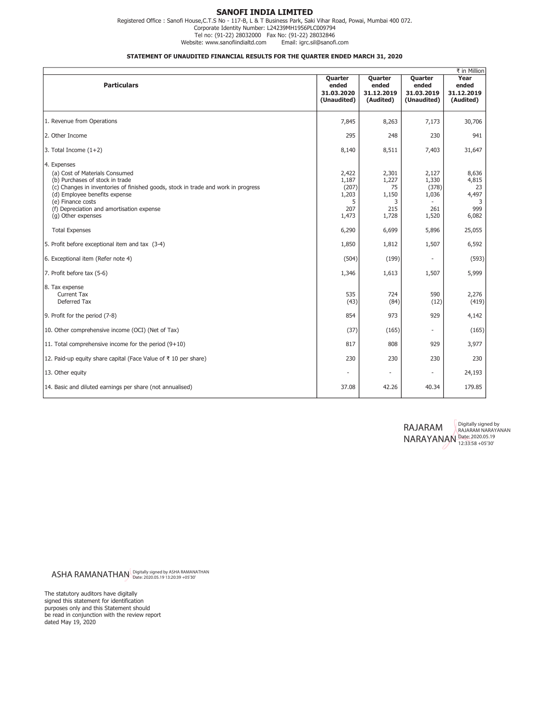### SANOFI INDIA LIMITED

Registered Office : Sanofi House,C.T.S No - 117-B, L & T Business Park, Saki Vihar Road, Powai, Mumbai 400 072. Corporate Identity Number: L24239MH1956PLC009794 Tel no: (91-22) 28032000 Fax No: (91-22) 28032846 Website: www.sanofiindialtd.com

#### STATEMENT OF UNAUDITED FINANCIAL RESULTS FOR THE QUARTER ENDED MARCH 31, 2020

| ₹ in Million                                                                                                                                                                                                                                                                                   |                                                       |                                                    |                                                  |                                                    |
|------------------------------------------------------------------------------------------------------------------------------------------------------------------------------------------------------------------------------------------------------------------------------------------------|-------------------------------------------------------|----------------------------------------------------|--------------------------------------------------|----------------------------------------------------|
| <b>Particulars</b>                                                                                                                                                                                                                                                                             | Quarter<br>ended<br>31.03.2020<br>(Unaudited)         | Quarter<br>ended<br>31.12.2019<br>(Audited)        | Quarter<br>ended<br>31.03.2019<br>(Unaudited)    | Year<br>ended<br>31.12.2019<br>(Audited)           |
| 1. Revenue from Operations                                                                                                                                                                                                                                                                     | 7,845                                                 | 8,263                                              | 7,173                                            | 30,706                                             |
| 2. Other Income                                                                                                                                                                                                                                                                                | 295                                                   | 248                                                | 230                                              | 941                                                |
| 3. Total Income $(1+2)$                                                                                                                                                                                                                                                                        | 8,140                                                 | 8,511                                              | 7,403                                            | 31,647                                             |
| 4. Expenses<br>(a) Cost of Materials Consumed<br>(b) Purchases of stock in trade<br>(c) Changes in inventories of finished goods, stock in trade and work in progress<br>(d) Employee benefits expense<br>(e) Finance costs<br>(f) Depreciation and amortisation expense<br>(g) Other expenses | 2,422<br>1,187<br>(207)<br>1,203<br>5<br>207<br>1,473 | 2,301<br>1,227<br>75<br>1,150<br>3<br>215<br>1,728 | 2,127<br>1,330<br>(378)<br>1,036<br>261<br>1,520 | 8,636<br>4,815<br>23<br>4,497<br>3<br>999<br>6,082 |
| <b>Total Expenses</b>                                                                                                                                                                                                                                                                          | 6,290                                                 | 6,699                                              | 5,896                                            | 25,055                                             |
| 5. Profit before exceptional item and tax (3-4)                                                                                                                                                                                                                                                | 1,850                                                 | 1,812                                              | 1,507                                            | 6,592                                              |
| 6. Exceptional item (Refer note 4)                                                                                                                                                                                                                                                             | (504)                                                 | (199)                                              | $\overline{\phantom{a}}$                         | (593)                                              |
| 7. Profit before tax (5-6)                                                                                                                                                                                                                                                                     | 1,346                                                 | 1,613                                              | 1,507                                            | 5,999                                              |
| 8. Tax expense<br><b>Current Tax</b><br>Deferred Tax                                                                                                                                                                                                                                           | 535<br>(43)                                           | 724<br>(84)                                        | 590<br>(12)                                      | 2,276<br>(419)                                     |
| 9. Profit for the period (7-8)                                                                                                                                                                                                                                                                 | 854                                                   | 973                                                | 929                                              | 4,142                                              |
| 10. Other comprehensive income (OCI) (Net of Tax)                                                                                                                                                                                                                                              | (37)                                                  | (165)                                              | $\overline{\phantom{a}}$                         | (165)                                              |
| 11. Total comprehensive income for the period $(9+10)$                                                                                                                                                                                                                                         | 817                                                   | 808                                                | 929                                              | 3,977                                              |
| 12. Paid-up equity share capital (Face Value of ₹ 10 per share)                                                                                                                                                                                                                                | 230                                                   | 230                                                | 230                                              | 230                                                |
| 13. Other equity                                                                                                                                                                                                                                                                               |                                                       |                                                    |                                                  | 24,193                                             |
| 14. Basic and diluted earnings per share (not annualised)                                                                                                                                                                                                                                      | 37.08                                                 | 42.26                                              | 40.34                                            | 179.85                                             |

RAJARAM NARAYANAN Date: 2020.05.19 12:33:58 +05'30' Digitally signed by RAJARAM NARAYANAN

ASHA RAMANATHAN Digitally signed by ASHA RAMANATHAN

The statutory auditors have digitally signed this statement for identification purposes only and this Statement should be read in conjunction with the review report dated May 19, 2020